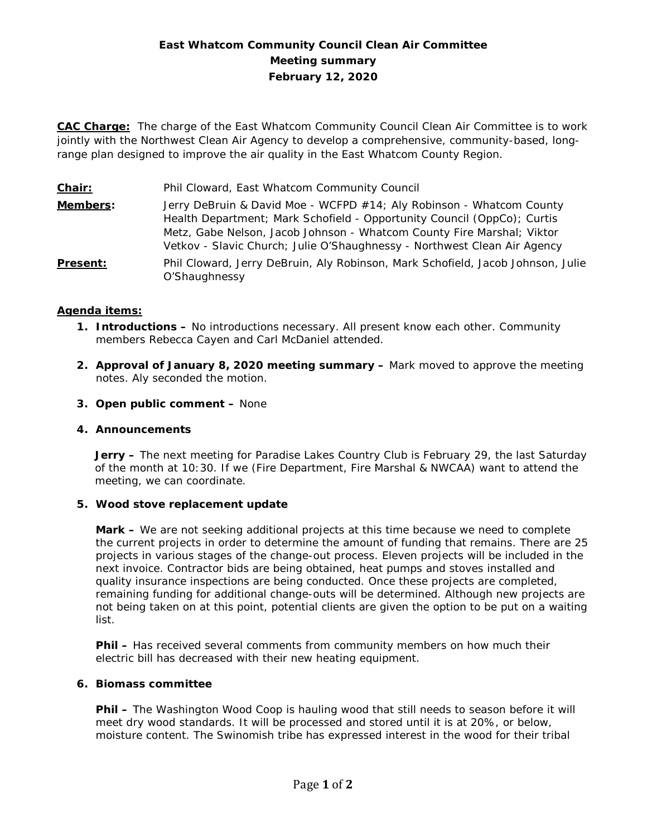# **East Whatcom Community Council Clean Air Committee Meeting summary February 12, 2020**

**CAC Charge:** The charge of the East Whatcom Community Council Clean Air Committee is to work jointly with the Northwest Clean Air Agency to develop a comprehensive, community-based, longrange plan designed to improve the air quality in the East Whatcom County Region.

**Chair:** Phil Cloward, East Whatcom Community Council **Members:** Jerry DeBruin & David Moe - WCFPD #14; Aly Robinson - Whatcom County Health Department; Mark Schofield - Opportunity Council (OppCo); Curtis Metz, Gabe Nelson, Jacob Johnson - Whatcom County Fire Marshal; Viktor Vetkov - Slavic Church; Julie O'Shaughnessy - Northwest Clean Air Agency **Present:** Phil Cloward, Jerry DeBruin, Aly Robinson, Mark Schofield, Jacob Johnson, Julie O'Shaughnessy

### **Agenda items:**

- **1. Introductions –** No introductions necessary. All present know each other. Community members Rebecca Cayen and Carl McDaniel attended.
- **2. Approval of January 8, 2020 meeting summary –** Mark moved to approve the meeting notes. Aly seconded the motion.
- **3. Open public comment –** None

### **4. Announcements**

**Jerry –** The next meeting for Paradise Lakes Country Club is February 29, the last Saturday of the month at 10:30. If we (Fire Department, Fire Marshal & NWCAA) want to attend the meeting, we can coordinate.

### **5. Wood stove replacement update**

**Mark –** We are not seeking additional projects at this time because we need to complete the current projects in order to determine the amount of funding that remains. There are 25 projects in various stages of the change-out process. Eleven projects will be included in the next invoice. Contractor bids are being obtained, heat pumps and stoves installed and quality insurance inspections are being conducted. Once these projects are completed, remaining funding for additional change-outs will be determined. Although new projects are not being taken on at this point, potential clients are given the option to be put on a waiting list.

**Phil –** Has received several comments from community members on how much their electric bill has decreased with their new heating equipment.

#### **6. Biomass committee**

**Phil -** The Washington Wood Coop is hauling wood that still needs to season before it will meet dry wood standards. It will be processed and stored until it is at 20%, or below, moisture content. The Swinomish tribe has expressed interest in the wood for their tribal